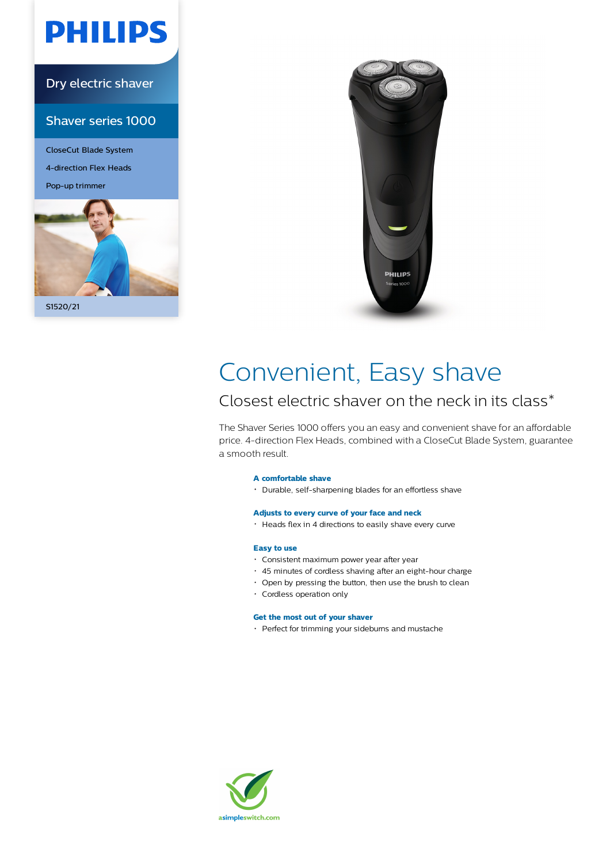# **PHILIPS**

### Dry electric shaver

#### Shaver series 1000

CloseCut Blade System 4-direction Flex Heads Pop-up trimmer





## Convenient, Easy shave

### Closest electric shaver on the neck in its class\*

The Shaver Series 1000 offers you an easy and convenient shave for an affordable price. 4-direction Flex Heads, combined with a CloseCut Blade System, guarantee a smooth result.

#### **A comfortable shave**

Durable, self-sharpening blades for an effortless shave

#### **Adjusts to every curve of your face and neck**

Heads flex in 4 directions to easily shave every curve

#### **Easy to use**

- Consistent maximum power year after year
- 45 minutes of cordless shaving after an eight-hour charge
- Open by pressing the button, then use the brush to clean
- Cordless operation only

#### **Get the most out of your shaver**

• Perfect for trimming your sideburns and mustache